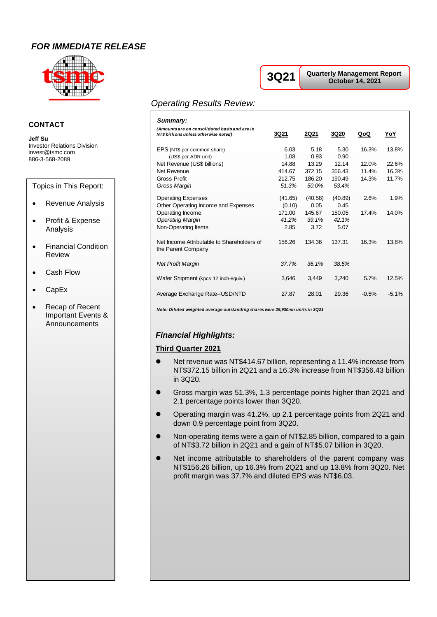# *FOR IMMEDIATE RELEASE*



### **CONTACT**

**Jeff Su** Investor Relations Division invest@tsmc.com 886-3-568-2089

Topics in This Report:

- Revenue Analysis
- Profit & Expense Analysis
- Financial Condition Review
- Cash Flow
- CapEx
- Recap of Recent Important Events & Announcements

# **3Q21**

**Quarterly Management Report October 14, 2021**

## *Operating Results Review:*

| Summary:                                                                               |                           |                           |                           |                         |                         |
|----------------------------------------------------------------------------------------|---------------------------|---------------------------|---------------------------|-------------------------|-------------------------|
| (Amounts are on consolidated basis and are in<br>NT\$ billions unless otherwise noted) | 3Q21                      | <b>2Q21</b>               | <b>3Q20</b>               | QoQ                     | YoY                     |
| EPS (NT\$ per common share)<br>(US\$ per ADR unit)                                     | 6.03<br>1.08              | 5.18<br>0.93              | 5.30<br>0.90              | 16.3%                   | 13.8%                   |
| Net Revenue (US\$ billions)<br>Net Revenue<br><b>Gross Profit</b>                      | 14.88<br>414.67<br>212.75 | 13.29<br>372.15<br>186.20 | 12.14<br>356.43<br>190.49 | 12.0%<br>11.4%<br>14.3% | 22.6%<br>16.3%<br>11.7% |
| Gross Margin                                                                           | 51.3%                     | 50.0%                     | 53.4%                     |                         |                         |
| <b>Operating Expenses</b><br>Other Operating Income and Expenses                       | (41.65)<br>(0.10)         | (40.58)<br>0.05           | (40.89)<br>0.45           | 2.6%                    | 1.9%                    |
| Operating Income<br><b>Operating Margin</b>                                            | 171.00<br>41.2%           | 145.67<br>39.1%           | 150.05<br>42.1%           | 17.4%                   | 14.0%                   |
| Non-Operating Items                                                                    | 2.85                      | 3.72                      | 5.07                      |                         |                         |
| Net Income Attributable to Shareholders of<br>the Parent Company                       | 156.26                    | 134.36                    | 137.31                    | 16.3%                   | 13.8%                   |
| <b>Net Profit Margin</b>                                                               | 37.7%                     | 36.1%                     | 38.5%                     |                         |                         |
| Wafer Shipment (kpcs 12 inch-equiv.)                                                   | 3,646                     | 3,449                     | 3,240                     | 5.7%                    | 12.5%                   |
| Average Exchange Rate--USD/NTD                                                         | 27.87                     | 28.01                     | 29.36                     | $-0.5%$                 | $-5.1%$                 |

*Note: Diluted weighted average outstanding shares were 25,930mn units in 3Q21*

### *Financial Highlights:*

#### **Third Quarter 2021**

- Net revenue was NT\$414.67 billion, representing a 11.4% increase from NT\$372.15 billion in 2Q21 and a 16.3% increase from NT\$356.43 billion in 3Q20.
- Gross margin was 51.3%, 1.3 percentage points higher than 2Q21 and 2.1 percentage points lower than 3Q20.
- ⚫ Operating margin was 41.2%, up 2.1 percentage points from 2Q21 and down 0.9 percentage point from 3Q20.
- Non-operating items were a gain of NT\$2.85 billion, compared to a gain of NT\$3.72 billion in 2Q21 and a gain of NT\$5.07 billion in 3Q20.
- Net income attributable to shareholders of the parent company was NT\$156.26 billion, up 16.3% from 2Q21 and up 13.8% from 3Q20. Net profit margin was 37.7% and diluted EPS was NT\$6.03.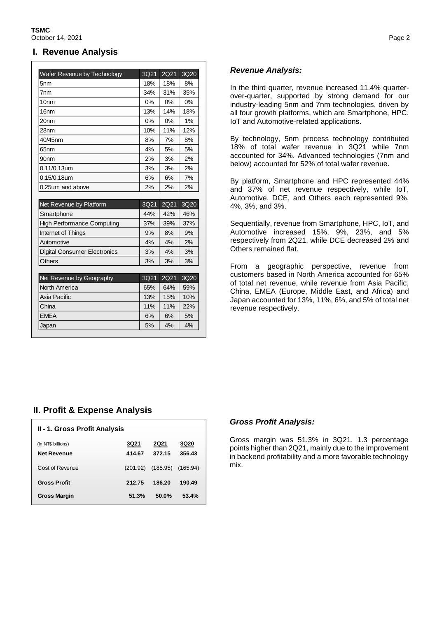### **I. Revenue Analysis**

| Wafer Revenue by Technology         | 3Q21  | <b>2Q21</b> | 3Q20             |
|-------------------------------------|-------|-------------|------------------|
| 5 <sub>nm</sub>                     | 18%   | 18%         | 8%               |
| 7 <sub>nm</sub>                     | 34%   | 31%         | 35%              |
| 10 <sub>nm</sub>                    | 0%    | $0\%$       | 0%               |
| 16 <sub>nm</sub>                    | 13%   | 14%         | 18%              |
| 20 <sub>nm</sub>                    | $0\%$ | 0%          | 1%               |
| 28nm                                | 10%   | 11%         | 12%              |
| 40/45nm                             | 8%    | 7%          | 8%               |
| 65 <sub>nm</sub>                    | 4%    | 5%          | 5%               |
| 90 <sub>nm</sub>                    | 2%    | 3%          | 2%               |
| 0.11/0.13um                         | 3%    | 3%          | 2%               |
| $0.15/0.18$ um                      | 6%    | 6%          | 7%               |
| 0.25um and above                    | 2%    | 2%          | 2%               |
|                                     |       |             |                  |
| Net Revenue by Platform             | 3Q21  | 2Q21        | 3Q <sub>20</sub> |
| Smartphone                          | 44%   | 42%         | 46%              |
| <b>High Performance Computing</b>   | 37%   | 39%         | 37%              |
| Internet of Things                  | 9%    | 8%          | 9%               |
| Automotive                          | 4%    | 4%          | 2%               |
|                                     |       |             |                  |
| <b>Digital Consumer Electronics</b> | 3%    | 4%          | 3%               |
| <b>Others</b>                       | 3%    | 3%          | 3%               |
|                                     |       |             |                  |
| Net Revenue by Geography            | 3Q21  | 2Q21        |                  |
| North America                       | 65%   | 64%         | 59%              |
| Asia Pacific                        | 13%   | 15%         | 3Q20<br>10%      |
| China                               | 11%   | 11%         | 22%              |
| <b>EMEA</b>                         | 6%    | 6%          | 5%               |

## *Revenue Analysis:*

In the third quarter, revenue increased 11.4% quarterover-quarter, supported by strong demand for our industry-leading 5nm and 7nm technologies, driven by all four growth platforms, which are Smartphone, HPC, IoT and Automotive-related applications.

By technology, 5nm process technology contributed 18% of total wafer revenue in 3Q21 while 7nm accounted for 34%. Advanced technologies (7nm and below) accounted for 52% of total wafer revenue.

By platform, Smartphone and HPC represented 44% and 37% of net revenue respectively, while IoT, Automotive, DCE, and Others each represented 9%, 4%, 3%, and 3%.

Sequentially, revenue from Smartphone, HPC, IoT, and Automotive increased 15%, 9%, 23%, and 5% respectively from 2Q21, while DCE decreased 2% and Others remained flat.

From a geographic perspective, revenue from customers based in North America accounted for 65% of total net revenue, while revenue from Asia Pacific, China, EMEA (Europe, Middle East, and Africa) and Japan accounted for 13%, 11%, 6%, and 5% of total net revenue respectively.

## **II. Profit & Expense Analysis**

| <b>II - 1. Gross Profit Analysis</b>     |                       |                       |                       |  |  |
|------------------------------------------|-----------------------|-----------------------|-----------------------|--|--|
| (In NT\$ billions)<br><b>Net Revenue</b> | <b>3Q21</b><br>414.67 | <b>2Q21</b><br>372.15 | <b>3Q20</b><br>356.43 |  |  |
| Cost of Revenue                          | (201.92)              | (185.95)              | (165.94)              |  |  |
| <b>Gross Profit</b>                      | 212.75                | 186.20                | 190.49                |  |  |
| <b>Gross Margin</b>                      | 51.3%                 | 50.0%                 | 53.4%                 |  |  |

### *Gross Profit Analysis:*

Gross margin was 51.3% in 3Q21, 1.3 percentage points higher than 2Q21, mainly due to the improvement in backend profitability and a more favorable technology mix.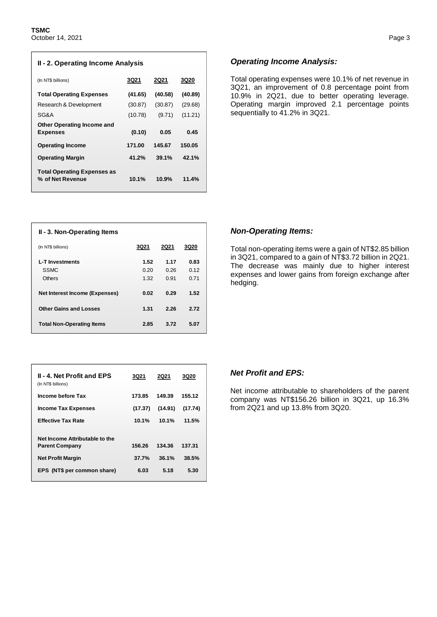| II - 2. Operating Income Analysis                      |         |             |         |  |  |
|--------------------------------------------------------|---------|-------------|---------|--|--|
| (In NT\$ billions)                                     | 3Q21    | <b>2Q21</b> | 3Q20    |  |  |
| <b>Total Operating Expenses</b>                        | (41.65) | (40.58)     | (40.89) |  |  |
| Research & Development                                 | (30.87) | (30.87)     | (29.68) |  |  |
| SG&A                                                   | (10.78) | (9.71)      | (11.21) |  |  |
| <b>Other Operating Income and</b><br><b>Expenses</b>   | (0.10)  | 0.05        | 0.45    |  |  |
| <b>Operating Income</b>                                | 171.00  | 145.67      | 150.05  |  |  |
| <b>Operating Margin</b>                                | 41.2%   | 39.1%       | 42.1%   |  |  |
| <b>Total Operating Expenses as</b><br>% of Net Revenue | 10.1%   | 10.9%       | 11.4%   |  |  |

#### *Operating Income Analysis:*

Total operating expenses were 10.1% of net revenue in 3Q21, an improvement of 0.8 percentage point from 10.9% in 2Q21, due to better operating leverage. Operating margin improved 2.1 percentage points sequentially to 41.2% in 3Q21.

| II - 3. Non-Operating Items                            |                      |                      |                      |
|--------------------------------------------------------|----------------------|----------------------|----------------------|
| (In NT\$ billions)                                     | 3Q21                 | <b>2Q21</b>          | 3Q20                 |
| <b>L-T</b> Investments<br><b>SSMC</b><br><b>Others</b> | 1.52<br>0.20<br>1.32 | 1.17<br>0.26<br>0.91 | 0.83<br>0.12<br>0.71 |
| Net Interest Income (Expenses)                         | 0.02                 | 0.29                 | 1.52                 |
| <b>Other Gains and Losses</b>                          | 1.31                 | 2.26                 | 2.72                 |
| <b>Total Non-Operating Items</b>                       | 2.85                 | 3.72                 | 5.07                 |

| <b>II - 4. Net Profit and EPS</b><br>(In NT\$ billions) | 3Q21    | 2Q21    | 3Q20    |
|---------------------------------------------------------|---------|---------|---------|
| Income before Tax                                       | 173.85  | 149.39  | 155.12  |
| <b>Income Tax Expenses</b>                              | (17.37) | (14.91) | (17.74) |
| <b>Effective Tax Rate</b>                               | 10.1%   | 10.1%   | 11.5%   |
| Net Income Attributable to the                          |         |         |         |
| <b>Parent Company</b>                                   | 156.26  | 134.36  | 137.31  |
| <b>Net Profit Margin</b>                                | 37.7%   | 36.1%   | 38.5%   |
| EPS (NT\$ per common share)                             | 6.03    | 5.18    | 5.30    |

#### *Non-Operating Items:*

Total non-operating items were a gain of NT\$2.85 billion in 3Q21, compared to a gain of NT\$3.72 billion in 2Q21. The decrease was mainly due to higher interest expenses and lower gains from foreign exchange after hedging.

### *Net Profit and EPS:*

Net income attributable to shareholders of the parent company was NT\$156.26 billion in 3Q21, up 16.3% from 2Q21 and up 13.8% from 3Q20.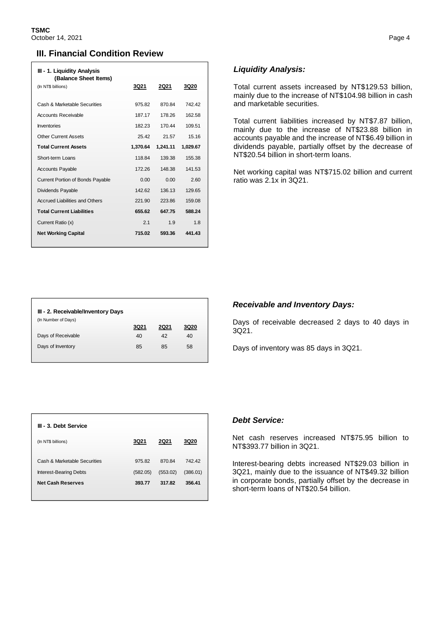## **III. Financial Condition Review**

| III - 1. Liquidity Analysis<br>(Balance Sheet Items) |          |             |          |
|------------------------------------------------------|----------|-------------|----------|
| (In NT\$ billions)                                   | 3Q21     | <b>2Q21</b> | 3Q20     |
| Cash & Marketable Securities                         | 975.82   | 870.84      | 74242    |
|                                                      |          |             |          |
| <b>Accounts Receivable</b>                           | 187.17   | 178.26      | 162.58   |
| <b>Inventories</b>                                   | 182.23   | 170.44      | 109.51   |
| <b>Other Current Assets</b>                          | 25.42    | 21.57       | 15.16    |
| <b>Total Current Assets</b>                          | 1,370.64 | 1,241.11    | 1,029.67 |
| Short-term Loans                                     | 118.84   | 139.38      | 155.38   |
| <b>Accounts Payable</b>                              | 172.26   | 148.38      | 141.53   |
| <b>Current Portion of Bonds Payable</b>              | 0.00     | 0.00        | 2.60     |
| Dividends Payable                                    | 142.62   | 136.13      | 129.65   |
| <b>Accrued Liabilities and Others</b>                | 221.90   | 223.86      | 159.08   |
| <b>Total Current Liabilities</b>                     | 655.62   | 647.75      | 588.24   |
| Current Ratio (x)                                    | 21       | 1.9         | 18       |
| <b>Net Working Capital</b>                           | 715.02   | 593.36      | 441.43   |

## *Liquidity Analysis:*

Total current assets increased by NT\$129.53 billion, mainly due to the increase of NT\$104.98 billion in cash and marketable securities.

Total current liabilities increased by NT\$7.87 billion, mainly due to the increase of NT\$23.88 billion in accounts payable and the increase of NT\$6.49 billion in dividends payable, partially offset by the decrease of NT\$20.54 billion in short-term loans.

Net working capital was NT\$715.02 billion and current ratio was 2.1x in 3Q21.

| III - 2. Receivable/Inventory Days |      |      |             |
|------------------------------------|------|------|-------------|
| (In Number of Days)                |      |      |             |
|                                    | 3Q21 | 2Q21 | <b>3Q20</b> |
| Days of Receivable                 | 40   | 42   | 40          |
| Days of Inventory                  | 85   | 85   | 58          |
|                                    |      |      |             |

### *Receivable and Inventory Days:*

Days of receivable decreased 2 days to 40 days in 3Q21.

Days of inventory was 85 days in 3Q21.

| III - 3. Debt Service         |          |          |             |
|-------------------------------|----------|----------|-------------|
| (In NT\$ billions)            | 3Q21     | 2Q21     | <b>3Q20</b> |
| Cash & Marketable Securities  | 97582    | 87084    | 742.42      |
| <b>Interest-Bearing Debts</b> | (582.05) | (553.02) | (386.01)    |
| <b>Net Cash Reserves</b>      | 393.77   | 317.82   | 356.41      |

#### *Debt Service:*

Net cash reserves increased NT\$75.95 billion to NT\$393.77 billion in 3Q21.

Interest-bearing debts increased NT\$29.03 billion in 3Q21, mainly due to the issuance of NT\$49.32 billion in corporate bonds, partially offset by the decrease in short-term loans of NT\$20.54 billion.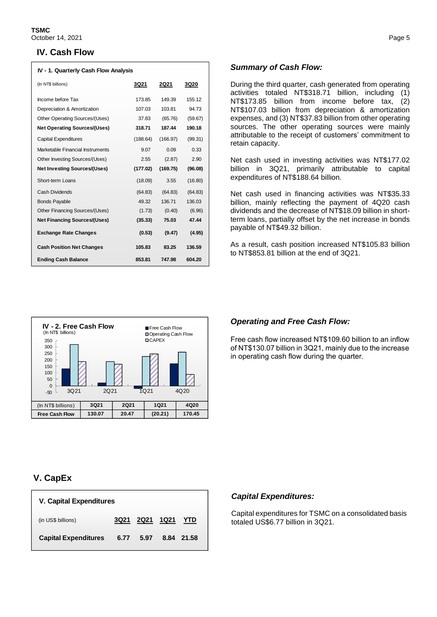### **IV. Cash Flow**

| IV - 1. Quarterly Cash Flow Analysis |          |          |         |
|--------------------------------------|----------|----------|---------|
| (In NT\$ billions)                   | 3Q21     | 2Q21     | 3Q20    |
| Income before Tax                    | 173.85   | 149.39   | 155.12  |
| Depreciation & Amortization          | 107.03   | 103.81   | 94 73   |
| Other Operating Sources/(Uses)       | 37.83    | (65.76)  | (59.67) |
| <b>Net Operating Sources/(Uses)</b>  | 318.71   | 187.44   | 190.18  |
| <b>Capital Expenditures</b>          | (188.64) | (166.97) | (99.31) |
| Marketable Financial Instruments     | 9.07     | 0.09     | 0.33    |
| Other Investing Sources/(Uses)       | 2.55     | (2.87)   | 2.90    |
| <b>Net Investing Sources/(Uses)</b>  | (177.02) | (169.75) | (96.08) |
| Short-term Loans                     | (18.09)  | 3.55     | (16.80) |
| Cash Dividends                       | (64.83)  | (64.83)  | (64.83) |
| <b>Bonds Payable</b>                 | 49.32    | 136.71   | 136.03  |
| Other Financing Sources/(Uses)       | (1.73)   | (0.40)   | (6.96)  |
| <b>Net Financing Sources/(Uses)</b>  | (35.33)  | 75.03    | 47.44   |
| <b>Exchange Rate Changes</b>         | (0.53)   | (9.47)   | (4.95)  |
| <b>Cash Position Net Changes</b>     | 105.83   | 83.25    | 136.59  |
| <b>Ending Cash Balance</b>           | 853.81   | 747.98   | 604.20  |



## *Summary of Cash Flow:*

During the third quarter, cash generated from operating activities totaled NT\$318.71 billion, including (1) NT\$173.85 billion from income before tax, (2) NT\$107.03 billion from depreciation & amortization expenses, and (3) NT\$37.83 billion from other operating sources. The other operating sources were mainly attributable to the receipt of customers' commitment to retain capacity.

Net cash used in investing activities was NT\$177.02 billion in 3Q21, primarily attributable to capital expenditures of NT\$188.64 billion.

Net cash used in financing activities was NT\$35.33 billion, mainly reflecting the payment of 4Q20 cash dividends and the decrease of NT\$18.09 billion in shortterm loans, partially offset by the net increase in bonds payable of NT\$49.32 billion.

As a result, cash position increased NT\$105.83 billion to NT\$853.81 billion at the end of 3Q21.

### *Operating and Free Cash Flow:*

Free cash flow increased NT\$109.60 billion to an inflow of NT\$130.07 billion in 3Q21, mainly due to the increase in operating cash flow during the quarter.

# **V. CapEx**

| <b>V. Capital Expenditures</b> |      |                    |  |            |  |
|--------------------------------|------|--------------------|--|------------|--|
| (in US\$ billions)             |      | 3Q21 2Q21 1Q21 YTD |  |            |  |
| <b>Capital Expenditures</b>    | 6.77 | 5.97               |  | 8.84 21.58 |  |

# *Capital Expenditures:*

 $\parallel$ 

Capital expenditures for TSMC on a consolidated basis totaled US\$6.77 billion in 3Q21.